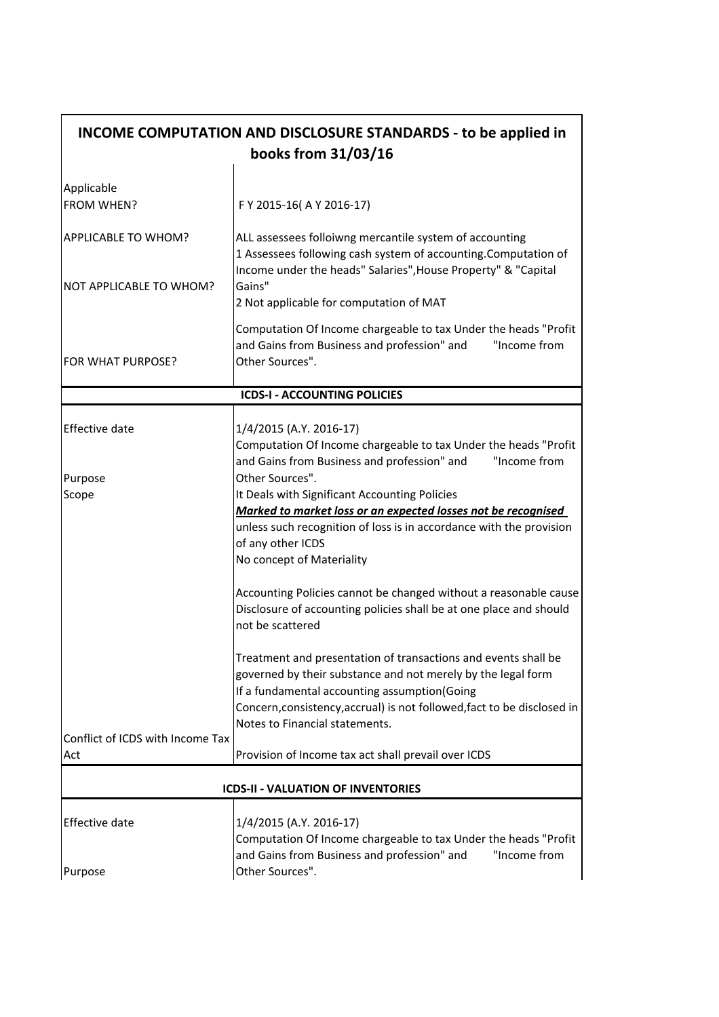| INCOME COMPUTATION AND DISCLOSURE STANDARDS - to be applied in<br>books from 31/03/16 |                                                                                                                                                                                                                                                                                             |
|---------------------------------------------------------------------------------------|---------------------------------------------------------------------------------------------------------------------------------------------------------------------------------------------------------------------------------------------------------------------------------------------|
|                                                                                       |                                                                                                                                                                                                                                                                                             |
| Applicable<br><b>FROM WHEN?</b>                                                       | F Y 2015-16(A Y 2016-17)                                                                                                                                                                                                                                                                    |
| <b>APPLICABLE TO WHOM?</b>                                                            | ALL assessees folloiwng mercantile system of accounting<br>1 Assessees following cash system of accounting. Computation of                                                                                                                                                                  |
| <b>NOT APPLICABLE TO WHOM?</b>                                                        | Income under the heads" Salaries", House Property" & "Capital<br>Gains"<br>2 Not applicable for computation of MAT                                                                                                                                                                          |
| FOR WHAT PURPOSE?                                                                     | Computation Of Income chargeable to tax Under the heads "Profit<br>"Income from<br>and Gains from Business and profession" and<br>Other Sources".                                                                                                                                           |
|                                                                                       | <b>ICDS-I - ACCOUNTING POLICIES</b>                                                                                                                                                                                                                                                         |
| <b>Effective date</b>                                                                 | 1/4/2015 (A.Y. 2016-17)<br>Computation Of Income chargeable to tax Under the heads "Profit                                                                                                                                                                                                  |
| Purpose                                                                               | and Gains from Business and profession" and<br>"Income from<br>Other Sources".                                                                                                                                                                                                              |
| Scope                                                                                 | It Deals with Significant Accounting Policies                                                                                                                                                                                                                                               |
|                                                                                       | Marked to market loss or an expected losses not be recognised<br>unless such recognition of loss is in accordance with the provision<br>of any other ICDS<br>No concept of Materiality                                                                                                      |
|                                                                                       | Accounting Policies cannot be changed without a reasonable cause<br>Disclosure of accounting policies shall be at one place and should<br>not be scattered                                                                                                                                  |
|                                                                                       | Treatment and presentation of transactions and events shall be<br>governed by their substance and not merely by the legal form<br>If a fundamental accounting assumption(Going<br>Concern, consistency, accrual) is not followed, fact to be disclosed in<br>Notes to Financial statements. |
| Conflict of ICDS with Income Tax                                                      |                                                                                                                                                                                                                                                                                             |
| Act                                                                                   | Provision of Income tax act shall prevail over ICDS                                                                                                                                                                                                                                         |
|                                                                                       | <b>ICDS-II - VALUATION OF INVENTORIES</b>                                                                                                                                                                                                                                                   |
| <b>Effective date</b>                                                                 | 1/4/2015 (A.Y. 2016-17)<br>Computation Of Income chargeable to tax Under the heads "Profit<br>and Gains from Business and profession" and<br>"Income from                                                                                                                                   |
| Purpose                                                                               | Other Sources".                                                                                                                                                                                                                                                                             |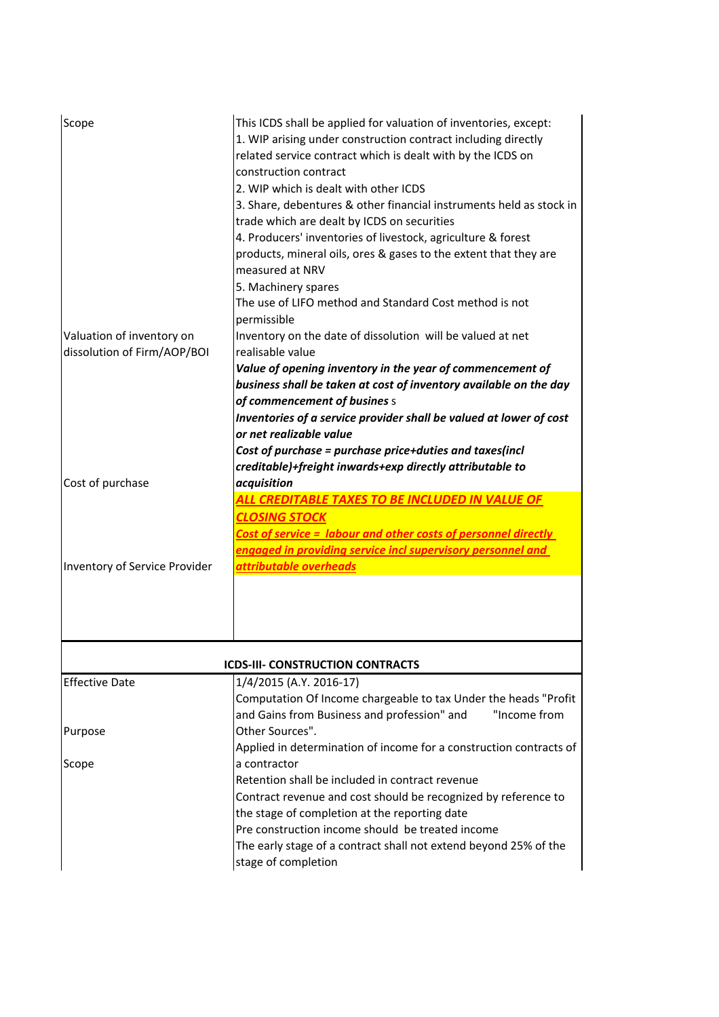| Scope                                                    | This ICDS shall be applied for valuation of inventories, except:<br>1. WIP arising under construction contract including directly<br>related service contract which is dealt with by the ICDS on<br>construction contract<br>2. WIP which is dealt with other ICDS<br>3. Share, debentures & other financial instruments held as stock in<br>trade which are dealt by ICDS on securities<br>4. Producers' inventories of livestock, agriculture & forest<br>products, mineral oils, ores & gases to the extent that they are<br>measured at NRV<br>5. Machinery spares<br>The use of LIFO method and Standard Cost method is not |
|----------------------------------------------------------|----------------------------------------------------------------------------------------------------------------------------------------------------------------------------------------------------------------------------------------------------------------------------------------------------------------------------------------------------------------------------------------------------------------------------------------------------------------------------------------------------------------------------------------------------------------------------------------------------------------------------------|
| Valuation of inventory on<br>dissolution of Firm/AOP/BOI | permissible<br>Inventory on the date of dissolution will be valued at net<br>realisable value<br>Value of opening inventory in the year of commencement of<br>business shall be taken at cost of inventory available on the day<br>of commencement of busines s<br>Inventories of a service provider shall be valued at lower of cost<br>or net realizable value<br>Cost of purchase = purchase price+duties and taxes(incl<br>creditable)+freight inwards+exp directly attributable to                                                                                                                                          |
| Cost of purchase                                         | acquisition<br>ALL CREDITABLE TAXES TO BE INCLUDED IN VALUE OF<br><b>CLOSING STOCK</b><br>Cost of service = labour and other costs of personnel directly<br>engaged in providing service incl supervisory personnel and                                                                                                                                                                                                                                                                                                                                                                                                          |
| Inventory of Service Provider                            | attributable overheads                                                                                                                                                                                                                                                                                                                                                                                                                                                                                                                                                                                                           |
|                                                          | <b>ICDS-III- CONSTRUCTION CONTRACTS</b>                                                                                                                                                                                                                                                                                                                                                                                                                                                                                                                                                                                          |
| <b>Effective Date</b>                                    | 1/4/2015 (A.Y. 2016-17)<br>Computation Of Income chargeable to tax Under the heads "Profit<br>and Gains from Business and profession" and<br>"Income from                                                                                                                                                                                                                                                                                                                                                                                                                                                                        |
| Purpose                                                  | Other Sources".<br>Applied in determination of income for a construction contracts of                                                                                                                                                                                                                                                                                                                                                                                                                                                                                                                                            |
| Scope                                                    | a contractor<br>Retention shall be included in contract revenue<br>Contract revenue and cost should be recognized by reference to<br>the stage of completion at the reporting date<br>Pre construction income should be treated income<br>The early stage of a contract shall not extend beyond 25% of the<br>stage of completion                                                                                                                                                                                                                                                                                                |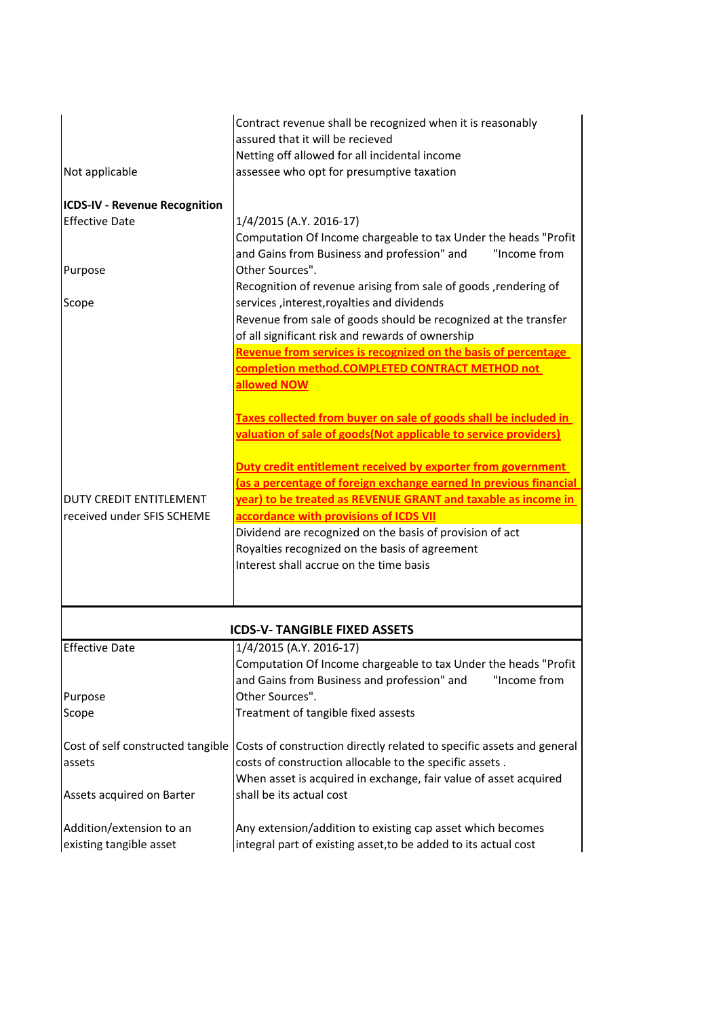| Not applicable                                                | Contract revenue shall be recognized when it is reasonably<br>assured that it will be recieved<br>Netting off allowed for all incidental income<br>assessee who opt for presumptive taxation                                                 |
|---------------------------------------------------------------|----------------------------------------------------------------------------------------------------------------------------------------------------------------------------------------------------------------------------------------------|
| <b>ICDS-IV - Revenue Recognition</b><br><b>Effective Date</b> | 1/4/2015 (A.Y. 2016-17)<br>Computation Of Income chargeable to tax Under the heads "Profit                                                                                                                                                   |
| Purpose                                                       | and Gains from Business and profession" and<br>"Income from<br>Other Sources".                                                                                                                                                               |
| Scope                                                         | Recognition of revenue arising from sale of goods, rendering of<br>services, interest, royalties and dividends<br>Revenue from sale of goods should be recognized at the transfer<br>of all significant risk and rewards of ownership        |
|                                                               | Revenue from services is recognized on the basis of percentage<br>completion method.COMPLETED CONTRACT METHOD not<br>allowed NOW                                                                                                             |
|                                                               | Taxes collected from buyer on sale of goods shall be included in<br>valuation of sale of goods(Not applicable to service providers)                                                                                                          |
| <b>DUTY CREDIT ENTITLEMENT</b>                                | Duty credit entitlement received by exporter from government<br>(as a percentage of foreign exchange earned In previous financial<br>year) to be treated as REVENUE GRANT and taxable as income in<br>accordance with provisions of ICDS VII |
| received under SFIS SCHEME                                    | Dividend are recognized on the basis of provision of act<br>Royalties recognized on the basis of agreement<br>Interest shall accrue on the time basis                                                                                        |
|                                                               | <b>ICDS-V-TANGIBLE FIXED ASSETS</b>                                                                                                                                                                                                          |
| <b>Effective Date</b>                                         | 1/4/2015 (A.Y. 2016-17)<br>Computation Of Income chargeable to tax Under the heads "Profit<br>and Gains from Business and profession" and<br>"Income from                                                                                    |
| Purpose<br>Scope                                              | Other Sources".<br>Treatment of tangible fixed assests                                                                                                                                                                                       |
| Cost of self constructed tangible<br>assets                   | Costs of construction directly related to specific assets and general<br>costs of construction allocable to the specific assets.<br>When asset is acquired in exchange, fair value of asset acquired                                         |
| Assets acquired on Barter                                     | shall be its actual cost                                                                                                                                                                                                                     |
| Addition/extension to an<br>existing tangible asset           | Any extension/addition to existing cap asset which becomes<br>integral part of existing asset, to be added to its actual cost                                                                                                                |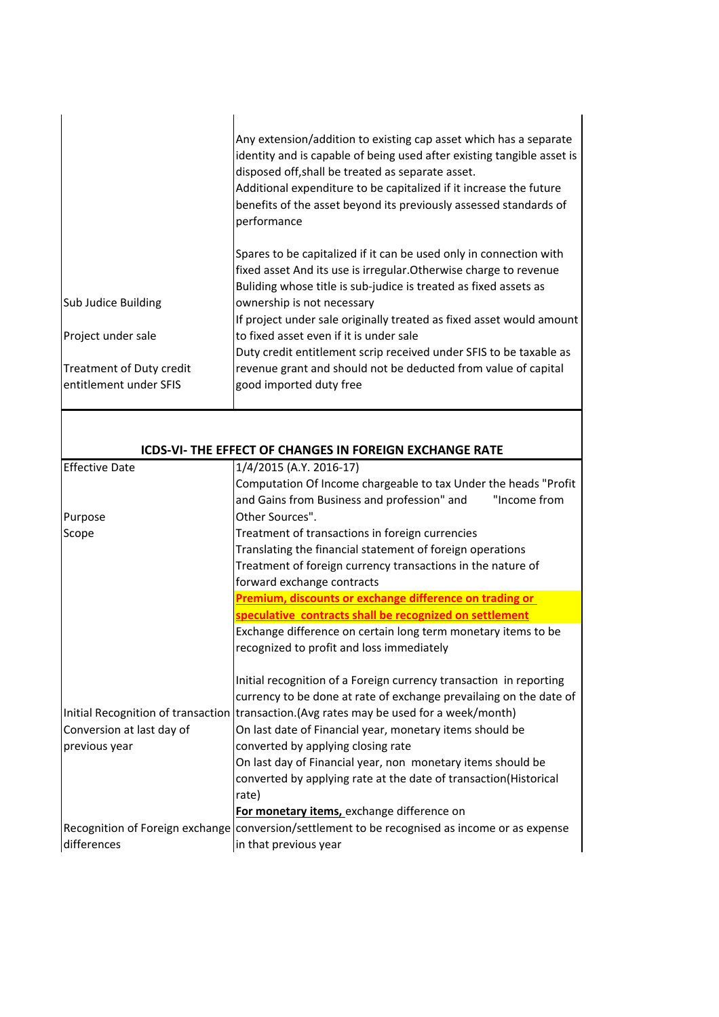|                           | Any extension/addition to existing cap asset which has a separate<br>identity and is capable of being used after existing tangible asset is<br>disposed off, shall be treated as separate asset.<br>Additional expenditure to be capitalized if it increase the future<br>benefits of the asset beyond its previously assessed standards of<br>performance |
|---------------------------|------------------------------------------------------------------------------------------------------------------------------------------------------------------------------------------------------------------------------------------------------------------------------------------------------------------------------------------------------------|
| Sub Judice Building       | Spares to be capitalized if it can be used only in connection with<br>fixed asset And its use is irregular. Otherwise charge to revenue<br>Buliding whose title is sub-judice is treated as fixed assets as<br>ownership is not necessary                                                                                                                  |
|                           | If project under sale originally treated as fixed asset would amount                                                                                                                                                                                                                                                                                       |
| Project under sale        | to fixed asset even if it is under sale                                                                                                                                                                                                                                                                                                                    |
|                           | Duty credit entitlement scrip received under SFIS to be taxable as                                                                                                                                                                                                                                                                                         |
| Treatment of Duty credit  | revenue grant and should not be deducted from value of capital                                                                                                                                                                                                                                                                                             |
| entitlement under SFIS    | good imported duty free                                                                                                                                                                                                                                                                                                                                    |
|                           |                                                                                                                                                                                                                                                                                                                                                            |
|                           | ICDS-VI- THE EFFECT OF CHANGES IN FOREIGN EXCHANGE RATE                                                                                                                                                                                                                                                                                                    |
| <b>Effective Date</b>     | 1/4/2015 (A.Y. 2016-17)                                                                                                                                                                                                                                                                                                                                    |
|                           | Computation Of Income chargeable to tax Under the heads "Profit                                                                                                                                                                                                                                                                                            |
|                           | and Gains from Business and profession" and<br>"Income from                                                                                                                                                                                                                                                                                                |
| Purpose                   | Other Sources".                                                                                                                                                                                                                                                                                                                                            |
| Scope                     | Treatment of transactions in foreign currencies                                                                                                                                                                                                                                                                                                            |
|                           | Translating the financial statement of foreign operations                                                                                                                                                                                                                                                                                                  |
|                           | Treatment of foreign currency transactions in the nature of                                                                                                                                                                                                                                                                                                |
|                           | forward exchange contracts                                                                                                                                                                                                                                                                                                                                 |
|                           | Premium, discounts or exchange difference on trading or<br>speculative contracts shall be recognized on settlement                                                                                                                                                                                                                                         |
|                           | Exchange difference on certain long term monetary items to be                                                                                                                                                                                                                                                                                              |
|                           | recognized to profit and loss immediately                                                                                                                                                                                                                                                                                                                  |
|                           | Initial recognition of a Foreign currency transaction in reporting                                                                                                                                                                                                                                                                                         |
|                           | currency to be done at rate of exchange prevailaing on the date of                                                                                                                                                                                                                                                                                         |
|                           | Initial Recognition of transaction transaction. (Avg rates may be used for a week/month)                                                                                                                                                                                                                                                                   |
| Conversion at last day of | On last date of Financial year, monetary items should be                                                                                                                                                                                                                                                                                                   |
| previous year             | converted by applying closing rate                                                                                                                                                                                                                                                                                                                         |
|                           | On last day of Financial year, non monetary items should be                                                                                                                                                                                                                                                                                                |
|                           | converted by applying rate at the date of transaction(Historical<br>rate)                                                                                                                                                                                                                                                                                  |
|                           | For monetary items, exchange difference on                                                                                                                                                                                                                                                                                                                 |
|                           | Recognition of Foreign exchange conversion/settlement to be recognised as income or as expense                                                                                                                                                                                                                                                             |
| differences               | in that previous year                                                                                                                                                                                                                                                                                                                                      |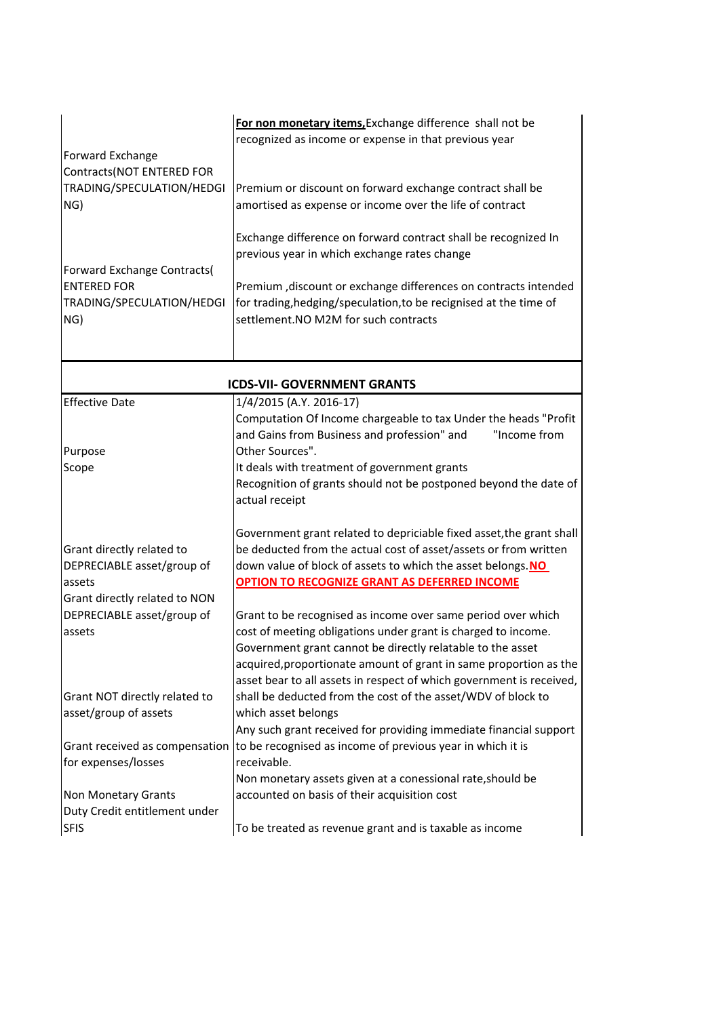| Forward Exchange<br>Contracts(NOT ENTERED FOR<br>TRADING/SPECULATION/HEDGI<br>NG)<br>Forward Exchange Contracts(<br><b>ENTERED FOR</b> | For non monetary items, Exchange difference shall not be<br>recognized as income or expense in that previous year<br>Premium or discount on forward exchange contract shall be<br>amortised as expense or income over the life of contract<br>Exchange difference on forward contract shall be recognized In<br>previous year in which exchange rates change<br>Premium , discount or exchange differences on contracts intended |
|----------------------------------------------------------------------------------------------------------------------------------------|----------------------------------------------------------------------------------------------------------------------------------------------------------------------------------------------------------------------------------------------------------------------------------------------------------------------------------------------------------------------------------------------------------------------------------|
| TRADING/SPECULATION/HEDGI<br>NG)                                                                                                       | for trading, hedging/speculation, to be recignised at the time of<br>settlement.NO M2M for such contracts                                                                                                                                                                                                                                                                                                                        |
| <b>ICDS-VII- GOVERNMENT GRANTS</b>                                                                                                     |                                                                                                                                                                                                                                                                                                                                                                                                                                  |
| <b>Effective Date</b>                                                                                                                  | 1/4/2015 (A.Y. 2016-17)<br>Computation Of Income chargeable to tax Under the heads "Profit<br>"Income from<br>and Gains from Business and profession" and                                                                                                                                                                                                                                                                        |
| Purpose                                                                                                                                | Other Sources".                                                                                                                                                                                                                                                                                                                                                                                                                  |
| Scope                                                                                                                                  | It deals with treatment of government grants<br>Recognition of grants should not be postponed beyond the date of<br>actual receipt                                                                                                                                                                                                                                                                                               |
| Grant directly related to<br>DEPRECIABLE asset/group of                                                                                | Government grant related to depriciable fixed asset, the grant shall<br>be deducted from the actual cost of asset/assets or from written<br>down value of block of assets to which the asset belongs. NO                                                                                                                                                                                                                         |
| assets                                                                                                                                 | <b>OPTION TO RECOGNIZE GRANT AS DEFERRED INCOME</b>                                                                                                                                                                                                                                                                                                                                                                              |
| Grant directly related to NON<br>DEPRECIABLE asset/group of                                                                            | Grant to be recognised as income over same period over which                                                                                                                                                                                                                                                                                                                                                                     |
| assets                                                                                                                                 | cost of meeting obligations under grant is charged to income.<br>Government grant cannot be directly relatable to the asset<br>acquired, proportionate amount of grant in same proportion as the<br>asset bear to all assets in respect of which government is received,                                                                                                                                                         |
| Grant NOT directly related to<br>asset/group of assets                                                                                 | shall be deducted from the cost of the asset/WDV of block to<br>which asset belongs<br>Any such grant received for providing immediate financial support                                                                                                                                                                                                                                                                         |
| Grant received as compensation                                                                                                         | to be recognised as income of previous year in which it is                                                                                                                                                                                                                                                                                                                                                                       |
| for expenses/losses                                                                                                                    | receivable.<br>Non monetary assets given at a conessional rate, should be                                                                                                                                                                                                                                                                                                                                                        |
| Non Monetary Grants                                                                                                                    | accounted on basis of their acquisition cost                                                                                                                                                                                                                                                                                                                                                                                     |
| Duty Credit entitlement under<br><b>SFIS</b>                                                                                           | To be treated as revenue grant and is taxable as income                                                                                                                                                                                                                                                                                                                                                                          |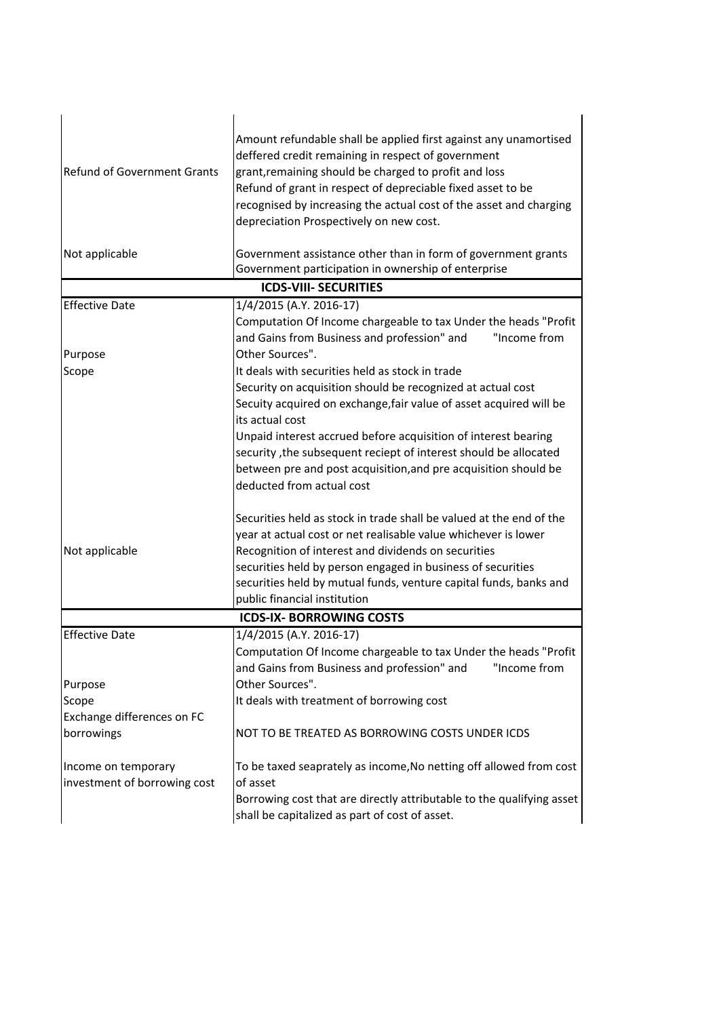| <b>Refund of Government Grants</b>                  | Amount refundable shall be applied first against any unamortised<br>deffered credit remaining in respect of government<br>grant, remaining should be charged to profit and loss<br>Refund of grant in respect of depreciable fixed asset to be<br>recognised by increasing the actual cost of the asset and charging<br>depreciation Prospectively on new cost.                                                                               |
|-----------------------------------------------------|-----------------------------------------------------------------------------------------------------------------------------------------------------------------------------------------------------------------------------------------------------------------------------------------------------------------------------------------------------------------------------------------------------------------------------------------------|
| Not applicable                                      | Government assistance other than in form of government grants<br>Government participation in ownership of enterprise                                                                                                                                                                                                                                                                                                                          |
|                                                     | <b>ICDS-VIII- SECURITIES</b>                                                                                                                                                                                                                                                                                                                                                                                                                  |
| <b>Effective Date</b>                               | 1/4/2015 (A.Y. 2016-17)                                                                                                                                                                                                                                                                                                                                                                                                                       |
| Purpose                                             | Computation Of Income chargeable to tax Under the heads "Profit<br>and Gains from Business and profession" and<br>"Income from<br>Other Sources".                                                                                                                                                                                                                                                                                             |
| Scope                                               | It deals with securities held as stock in trade<br>Security on acquisition should be recognized at actual cost<br>Secuity acquired on exchange, fair value of asset acquired will be<br>its actual cost<br>Unpaid interest accrued before acquisition of interest bearing<br>security, the subsequent reciept of interest should be allocated<br>between pre and post acquisition, and pre acquisition should be<br>deducted from actual cost |
| Not applicable                                      | Securities held as stock in trade shall be valued at the end of the<br>year at actual cost or net realisable value whichever is lower<br>Recognition of interest and dividends on securities<br>securities held by person engaged in business of securities<br>securities held by mutual funds, venture capital funds, banks and<br>public financial institution                                                                              |
|                                                     | <b>ICDS-IX-BORROWING COSTS</b>                                                                                                                                                                                                                                                                                                                                                                                                                |
| <b>Effective Date</b>                               | 1/4/2015 (A.Y. 2016-17)<br>Computation Of Income chargeable to tax Under the heads "Profit<br>and Gains from Business and profession" and<br>"Income from                                                                                                                                                                                                                                                                                     |
| Purpose                                             | Other Sources".                                                                                                                                                                                                                                                                                                                                                                                                                               |
| Scope                                               | It deals with treatment of borrowing cost                                                                                                                                                                                                                                                                                                                                                                                                     |
| Exchange differences on FC<br>borrowings            | NOT TO BE TREATED AS BORROWING COSTS UNDER ICDS                                                                                                                                                                                                                                                                                                                                                                                               |
| Income on temporary<br>investment of borrowing cost | To be taxed seaprately as income, No netting off allowed from cost<br>of asset<br>Borrowing cost that are directly attributable to the qualifying asset<br>shall be capitalized as part of cost of asset.                                                                                                                                                                                                                                     |